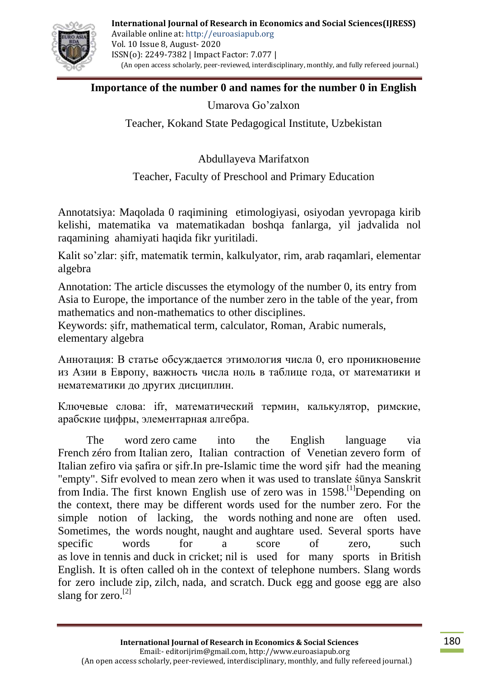

#### **[Importance of the](https://en.wikipedia.org/wiki/Names_for_the_number_0) number 0 and [names for the number 0 in English](https://en.wikipedia.org/wiki/Names_for_the_number_0_in_English)**

Umarova Go'zalxon

Teacher, Kokand State Pedagogical Institute, Uzbekistan

Abdullayeva Marifatxon

Teacher, Faculty of Preschool and Primary Education

Annotatsiya: Maqolada 0 raqimining etimologiyasi, osiyodan yevropaga kirib kelishi, matematika va matematikadan boshqa fanlarga, yil jadvalida nol raqamining ahamiyati haqida fikr yuritiladi.

Kalit so'zlar: ṣifr, matematik termin, kalkulyator, rim, arab raqamlari, elementar algebra

Annotation: The article discusses the etymology of the number 0, its entry from Asia to Europe, the importance of the number zero in the table of the year, from mathematics and non-mathematics to other disciplines.

Keywords: ṣifr, mathematical term, calculator, Roman, Arabic numerals, elementary algebra

Аннотация: В статье обсуждается этимология числа 0, его проникновение из Азии в Европу, важность числа ноль в таблице года, от математики и нематематики до других дисциплин.

Ключевые слова: ifr, математический термин, калькулятор, римские, арабские цифры, элементарная алгебра.

The word zero came into the English language via French zéro from [Italian](https://en.wikipedia.org/wiki/Italian_language) zero, Italian contraction of Venetian zevero form of Italian zefiro via safira or sifr. In pre-Islamic time the word sifr had the meaning "empty". Sifr evolved to mean zero when it was used to translate śūnya Sanskrit from [India.](https://en.wikipedia.org/wiki/India) The first known English use of zero was in  $1598$ .<sup>[1]</sup>Depending on the context, there may be different words used for the number zero. For the simple notion of lacking, the words nothing and none are often used. Sometimes, the words nought, naught and aughtare used. Several sports have specific words for a score of zero, such as love in [tennis](https://en.wikipedia.org/wiki/Lawn_tennis) and duck in [cricket;](https://en.wikipedia.org/wiki/Cricket_(sport)) nil is used for many sports in [British](https://en.wikipedia.org/wiki/British_English)  [English.](https://en.wikipedia.org/wiki/British_English) It is often called oh in the context of telephone numbers. Slang words for zero include zip, zilch, nada, and scratch. Duck egg and goose egg are also slang for zero.<sup>[\[2\]](https://en.wikipedia.org/wiki/0#cite_note-13)</sup>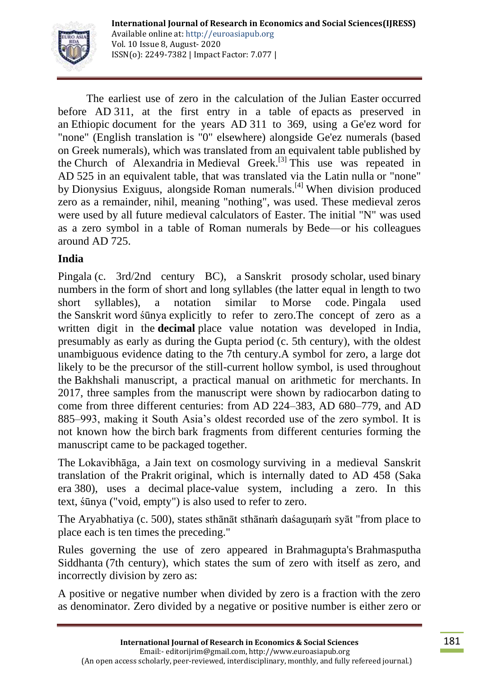

The earliest use of zero in the calculation of the [Julian Easter](https://en.wikipedia.org/wiki/Computus) occurred before AD 311, at the first entry in a table of [epacts](https://en.wikipedia.org/wiki/Epact) as preserved in an [Ethiopic](https://en.wikipedia.org/wiki/Ethiopia) document for the years AD 311 to 369, using a [Ge'ez](https://en.wikipedia.org/wiki/Ge%27ez) word for "none" (English translation is "0" elsewhere) alongside Ge'ez numerals (based on Greek numerals), which was translated from an equivalent table published by the [Church of Alexandria](https://en.wikipedia.org/wiki/Church_of_Alexandria) in [Medieval Greek.](https://en.wikipedia.org/wiki/Medieval_Greek)<sup>[\[3\]](https://en.wikipedia.org/wiki/0#cite_note-Neugebauer-28)</sup> This use was repeated in AD 525 in an equivalent table, that was translated via the Latin nulla or "none" by [Dionysius Exiguus,](https://en.wikipedia.org/wiki/Dionysius_Exiguus) alongside [Roman numerals.](https://en.wikipedia.org/wiki/Roman_numerals#Zero)<sup>[\[4\]](https://en.wikipedia.org/wiki/0#cite_note-Dionysius-29)</sup> When division produced zero as a remainder, nihil, meaning "nothing", was used. These medieval zeros were used by all future medieval [calculators of Easter.](https://en.wikipedia.org/wiki/Computus) The initial "N" was used as a zero symbol in a table of Roman numerals by [Bede—](https://en.wikipedia.org/wiki/Bede)or his colleagues around AD 725.

## **India**

[Pingala](https://en.wikipedia.org/wiki/Pingala) (c. 3rd/2nd century BC), a [Sanskrit prosody](https://en.wikipedia.org/wiki/Sanskrit_prosody) scholar, used [binary](https://en.wikipedia.org/wiki/Binary_numeral_system)  [numbers](https://en.wikipedia.org/wiki/Binary_numeral_system) in the form of short and long syllables (the latter equal in length to two short syllables), a notation similar to [Morse code.](https://en.wikipedia.org/wiki/Morse_code) Pingala used the [Sanskrit](https://en.wikipedia.org/wiki/Sanskrit) word [śūnya](https://en.wikipedia.org/wiki/%C5%9A%C5%ABnyat%C4%81) explicitly to refer to zero.The concept of zero as a written digit in the **decimal** place value notation was developed in [India,](https://en.wikipedia.org/wiki/Indian_subcontinent) presumably as early as during the [Gupta period](https://en.wikipedia.org/wiki/Gupta_period) (c. 5th century), with the oldest unambiguous evidence dating to the 7th century.A symbol for zero, a large dot likely to be the precursor of the still-current hollow symbol, is used throughout the [Bakhshali manuscript,](https://en.wikipedia.org/wiki/Bakhshali_manuscript) a practical manual on arithmetic for merchants. In 2017, three samples from the manuscript were shown by [radiocarbon dating](https://en.wikipedia.org/wiki/Radiocarbon_dating) to come from three different centuries: from AD 224–383, AD 680–779, and AD 885–993, making it South Asia's oldest recorded use of the zero symbol. It is not known how the [birch](https://en.wikipedia.org/wiki/Birch) bark fragments from different centuries forming the manuscript came to be packaged together.

The [Lokavibhāga,](https://en.wikipedia.org/wiki/Lokavibhaga) a [Jain](https://en.wikipedia.org/wiki/Jain) text on [cosmology](https://en.wikipedia.org/wiki/Cosmology) surviving in a medieval Sanskrit translation of the [Prakrit](https://en.wikipedia.org/wiki/Prakrit) original, which is internally dated to AD 458 [\(Saka](https://en.wikipedia.org/wiki/Saka_era)  [era](https://en.wikipedia.org/wiki/Saka_era) 380), uses a decimal [place-value system,](https://en.wikipedia.org/wiki/Positional_notation) including a zero. In this text, [śūnya](https://en.wikipedia.org/wiki/%C5%9A%C5%ABnyat%C4%81) ("void, empty") is also used to refer to zero.

The [Aryabhatiya](https://en.wikipedia.org/wiki/Aryabhatiya) (c. 500), states sthānāt sthānam daśagunam syāt "from place to place each is ten times the preceding."

Rules governing the use of zero appeared in [Brahmagupta'](https://en.wikipedia.org/wiki/Brahmagupta)s [Brahmasputha](https://en.wikipedia.org/wiki/Brahmasphutasiddhanta)  [Siddhanta](https://en.wikipedia.org/wiki/Brahmasphutasiddhanta) (7th century), which states the sum of zero with itself as zero, and incorrectly [division by zero](https://en.wikipedia.org/wiki/Division_by_zero) as:

A positive or negative number when divided by zero is a fraction with the zero as denominator. Zero divided by a negative or positive number is either zero or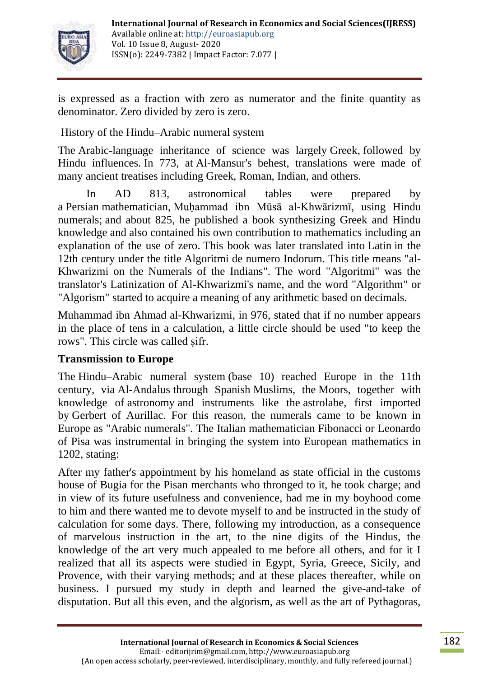

is expressed as a fraction with zero as numerator and the finite quantity as denominator. Zero divided by zero is zero.

[History of the Hindu–Arabic numeral system](https://en.wikipedia.org/wiki/History_of_the_Hindu%E2%80%93Arabic_numeral_system)

The [Arabic-](https://en.wikipedia.org/wiki/Arabic)language inheritance of science was largely [Greek,](https://en.wikipedia.org/wiki/Greece) followed by Hindu influences. In 773, at [Al-Mansur'](https://en.wikipedia.org/wiki/Al-Mansur)s behest, translations were made of many ancient treatises including Greek, Roman, Indian, and others.

In AD 813, astronomical tables were prepared by a [Persian](https://en.wikipedia.org/wiki/Persian_people) mathematician, [Muḥammad ibn Mūsā al-Khwārizmī,](https://en.wikipedia.org/wiki/Mu%E1%B8%A5ammad_ibn_M%C5%ABs%C4%81_al-Khw%C4%81rizm%C4%AB) using Hindu numerals; and about 825, he published a book synthesizing Greek and Hindu knowledge and also contained his own contribution to mathematics including an explanation of the use of zero. This book was later translated into [Latin](https://en.wikipedia.org/wiki/Latin) in the 12th century under the title Algoritmi de numero Indorum. This title means "al-Khwarizmi on the Numerals of the Indians". The word "Algoritmi" was the translator's Latinization of Al-Khwarizmi's name, and the word "Algorithm" or "Algorism" started to acquire a meaning of any arithmetic based on decimals.

[Muhammad ibn Ahmad al-Khwarizmi,](https://en.wikipedia.org/wiki/Muhammad_ibn_Ahmad_al-Khwarizmi) in 976, stated that if no number appears in the place of tens in a calculation, a little circle should be used "to keep the rows". This circle was called sifr.

## **Transmission to Europe**

The [Hindu–Arabic numeral system](https://en.wikipedia.org/wiki/Hindu%E2%80%93Arabic_numeral_system) (base 10) reached Europe in the 11th century, via [Al-Andalus](https://en.wikipedia.org/wiki/Al-Andalus) through Spanish [Muslims,](https://en.wikipedia.org/wiki/Muslim) the [Moors,](https://en.wikipedia.org/wiki/Moors) together with knowledge of [astronomy](https://en.wikipedia.org/wiki/Astronomy) and instruments like the [astrolabe,](https://en.wikipedia.org/wiki/Astrolabe) first imported by [Gerbert of Aurillac.](https://en.wikipedia.org/wiki/Pope_Sylvester_II) For this reason, the numerals came to be known in Europe as "Arabic numerals". The Italian mathematician [Fibonacci](https://en.wikipedia.org/wiki/Fibonacci) or Leonardo of Pisa was instrumental in bringing the system into European mathematics in 1202, stating:

After my father's appointment by his homeland as state official in the customs house of Bugia for the Pisan merchants who thronged to it, he took charge; and in view of its future usefulness and convenience, had me in my boyhood come to him and there wanted me to devote myself to and be instructed in the study of calculation for some days. There, following my introduction, as a consequence of marvelous instruction in the art, to the nine digits of the Hindus, the knowledge of the art very much appealed to me before all others, and for it I realized that all its aspects were studied in Egypt, Syria, Greece, Sicily, and Provence, with their varying methods; and at these places thereafter, while on business. I pursued my study in depth and learned the give-and-take of disputation. But all this even, and the algorism, as well as the art of Pythagoras,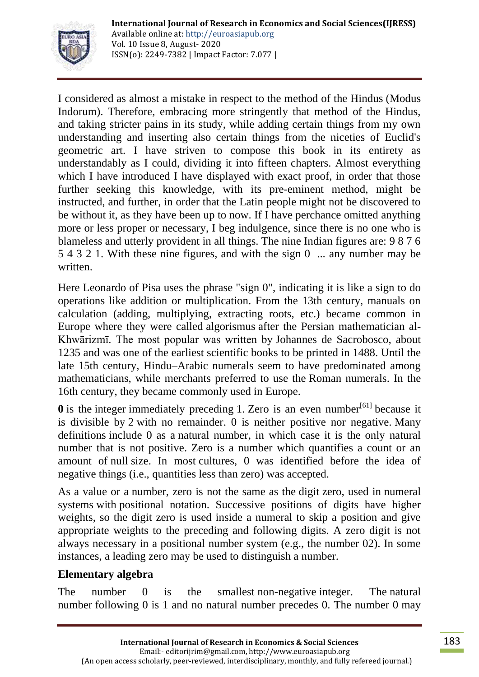

I considered as almost a mistake in respect to the method of the [Hindus](https://en.wikipedia.org/wiki/Hinduism) (Modus Indorum). Therefore, embracing more stringently that method of the Hindus, and taking stricter pains in its study, while adding certain things from my own understanding and inserting also certain things from the niceties of Euclid's geometric art. I have striven to compose this book in its entirety as understandably as I could, dividing it into fifteen chapters. Almost everything which I have introduced I have displayed with exact proof, in order that those further seeking this knowledge, with its pre-eminent method, might be instructed, and further, in order that the Latin people might not be discovered to be without it, as they have been up to now. If I have perchance omitted anything more or less proper or necessary, I beg indulgence, since there is no one who is blameless and utterly provident in all things. The nine Indian figures are: 9 8 7 6 5 4 3 2 1. With these nine figures, and with the sign 0 ... any number may be written.

Here Leonardo of Pisa uses the phrase "sign 0", indicating it is like a sign to do operations like addition or multiplication. From the 13th century, manuals on calculation (adding, multiplying, extracting roots, etc.) became common in Europe where they were called [algorismus](https://en.wikipedia.org/wiki/Algorism) after the Persian mathematician al-Khwārizmī. The most popular was written by [Johannes de Sacrobosco,](https://en.wikipedia.org/wiki/Johannes_de_Sacrobosco) about 1235 and was one of the earliest scientific books to be printed in 1488. Until the late 15th century, Hindu–Arabic numerals seem to have predominated among mathematicians, while merchants preferred to use the [Roman numerals.](https://en.wikipedia.org/wiki/Roman_numerals) In the 16th century, they became commonly used in Europe.

 $\theta$  is the [integer](https://en.wikipedia.org/wiki/Integer) immediately preceding [1.](https://en.wikipedia.org/wiki/1_(number)) [Zero is an even number](https://en.wikipedia.org/wiki/Parity_of_zero)<sup>[\[61\]](https://en.wikipedia.org/wiki/Parity_of_zero)</sup> because it is divisible by [2](https://en.wikipedia.org/wiki/2_(number)) with no remainder. 0 is neither positive nor negative. Many definitions include 0 as a [natural number,](https://en.wikipedia.org/wiki/Natural_number) in which case it is the only natural number that is not positive. Zero is a number which quantifies a count or an amount of [null](https://en.wikipedia.org/wiki/Empty_set) size. In most [cultures,](https://en.wikipedia.org/wiki/History_of_mathematics) 0 was identified before the idea of negative things (i.e., quantities less than zero) was accepted.

As a value or a number, zero is not the same as the digit zero, used in [numeral](https://en.wikipedia.org/wiki/Numeral_system)  [systems](https://en.wikipedia.org/wiki/Numeral_system) with [positional notation.](https://en.wikipedia.org/wiki/Positional_notation) Successive positions of digits have higher weights, so the digit zero is used inside a numeral to skip a position and give appropriate weights to the preceding and following digits. A zero digit is not always necessary in a positional number system (e.g., the number 02). In some instances, a [leading zero](https://en.wikipedia.org/wiki/Leading_zero) may be used to distinguish a number.

# **Elementary algebra**

The number 0 is the smallest [non-negative](https://en.wikipedia.org/wiki/Non-negative) integer. The natural [number](https://en.wikipedia.org/wiki/Natural_number) following 0 is 1 and no natural number precedes 0. The number 0 may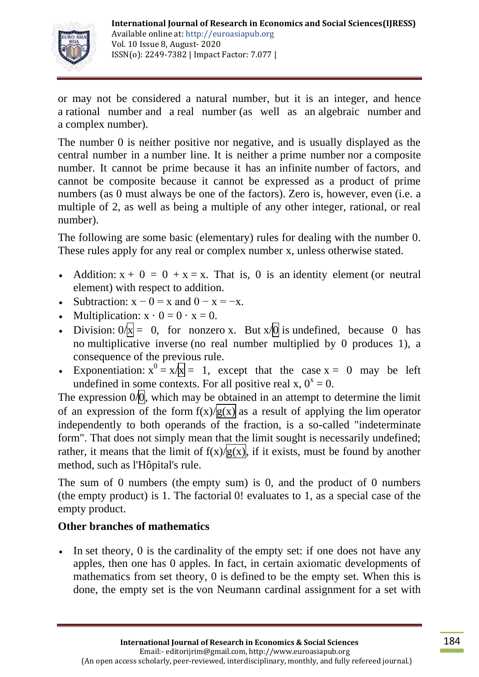

or may not be considered a natural number, but it is an integer, and hence a [rational number](https://en.wikipedia.org/wiki/Rational_number) and a [real number](https://en.wikipedia.org/wiki/Real_number) (as well as an [algebraic number](https://en.wikipedia.org/wiki/Algebraic_number) and a [complex number\)](https://en.wikipedia.org/wiki/Complex_number).

The number 0 is neither positive nor negative, and is usually displayed as the central number in a [number line.](https://en.wikipedia.org/wiki/Number_line) It is neither a [prime number](https://en.wikipedia.org/wiki/Prime_number) nor a [composite](https://en.wikipedia.org/wiki/Composite_number)  [number.](https://en.wikipedia.org/wiki/Composite_number) It cannot be prime because it has an [infinite](https://en.wikipedia.org/wiki/Infinity) number of [factors,](https://en.wikipedia.org/wiki/Divisor) and cannot be composite because it cannot be expressed as a product of prime numbers (as 0 must always be one of the factors). Zero is, however, [even](https://en.wikipedia.org/wiki/Parity_(mathematics)) (i.e. a multiple of 2, as well as being a multiple of any other integer, rational, or real number).

The following are some basic (elementary) rules for dealing with the number 0. These rules apply for any real or complex number x, unless otherwise stated.

- Addition:  $x + 0 = 0 + x = x$ . That is, 0 is an identity [element](https://en.wikipedia.org/wiki/Identity_element) (or neutral element) with respect to addition.
- Subtraction:  $x 0 = x$  and  $0 x = -x$ .
- Multiplication:  $x \cdot 0 = 0 \cdot x = 0$ .
- Division:  $0/\bar{x} = 0$ , for nonzero x. But  $x/\bar{0}$  is [undefined,](https://en.wikipedia.org/wiki/Defined_and_undefined) because 0 has no [multiplicative inverse](https://en.wikipedia.org/wiki/Multiplicative_inverse) (no real number multiplied by 0 produces 1), a consequence of the previous rule.
- Exponentiation:  $x^0 = x/x = 1$ , except that the case  $x = 0$  may be left undefined in some [contexts.](https://en.wikipedia.org/wiki/0_to_the_power_of_0) For all positive real x,  $0^x = 0$ .

The expression  $0/\overline{0}$ , which may be obtained in an attempt to determine the limit of an expression of the form  $f(x)/g(x)$  as a result of applying the [lim](https://en.wikipedia.org/wiki/Limit_of_a_function) operator independently to both operands of the fraction, is a so-called ["indeterminate](https://en.wikipedia.org/wiki/Indeterminate_form)  [form"](https://en.wikipedia.org/wiki/Indeterminate_form). That does not simply mean that the limit sought is necessarily undefined; rather, it means that the limit of  $f(x)/g(x)$ , if it exists, must be found by another method, such as [l'Hôpital's rule.](https://en.wikipedia.org/wiki/L%27H%C3%B4pital%27s_rule)

The sum of 0 numbers (the [empty sum\)](https://en.wikipedia.org/wiki/Empty_sum) is 0, and the product of 0 numbers (the [empty product\)](https://en.wikipedia.org/wiki/Empty_product) is 1. The [factorial](https://en.wikipedia.org/wiki/Factorial) 0! evaluates to 1, as a special case of the empty product.

# **Other branches of mathematics**

 In [set theory,](https://en.wikipedia.org/wiki/Set_theory) 0 is the [cardinality](https://en.wikipedia.org/wiki/Cardinality) of the [empty set:](https://en.wikipedia.org/wiki/Empty_set) if one does not have any apples, then one has 0 apples. In fact, in certain axiomatic developments of mathematics from set theory, 0 is [defined](https://en.wikipedia.org/wiki/Definition) to be the empty set. When this is done, the empty set is the [von Neumann cardinal assignment](https://en.wikipedia.org/wiki/Von_Neumann_cardinal_assignment) for a set with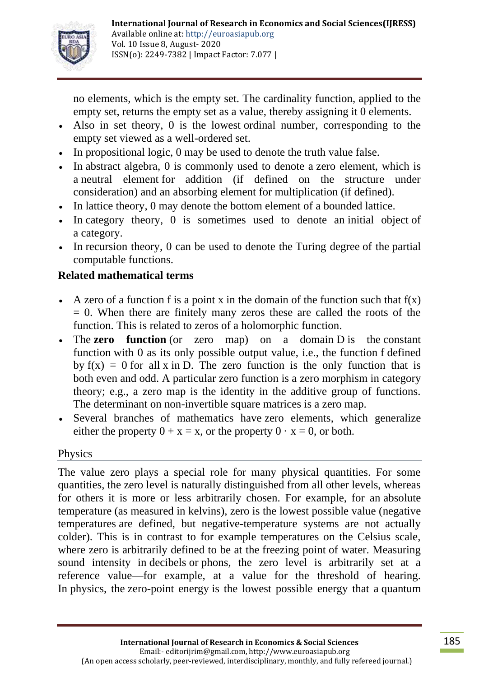

no elements, which is the empty set. The cardinality function, applied to the empty set, returns the empty set as a value, thereby assigning it 0 elements.

- Also in set theory, 0 is the lowest [ordinal number,](https://en.wikipedia.org/wiki/Ordinal_number) corresponding to the empty set viewed as a [well-ordered set.](https://en.wikipedia.org/wiki/Well-order)
- In [propositional logic,](https://en.wikipedia.org/wiki/Propositional_calculus) 0 may be used to denote the [truth value](https://en.wikipedia.org/wiki/Truth_value) false.
- In [abstract algebra,](https://en.wikipedia.org/wiki/Abstract_algebra) 0 is commonly used to denote a [zero element,](https://en.wikipedia.org/wiki/Zero_element) which is a [neutral element](https://en.wikipedia.org/wiki/Identity_element) for addition (if defined on the structure under consideration) and an [absorbing element](https://en.wikipedia.org/wiki/Absorbing_element) for multiplication (if defined).
- In [lattice theory,](https://en.wikipedia.org/wiki/Lattice_(order)) 0 may denote the [bottom element](https://en.wikipedia.org/wiki/Greatest_element) of a [bounded lattice.](https://en.wikipedia.org/wiki/Lattice_(order))
- In [category theory,](https://en.wikipedia.org/wiki/Category_theory) 0 is sometimes used to denote an [initial object](https://en.wikipedia.org/wiki/Initial_and_terminal_objects) of a [category.](https://en.wikipedia.org/wiki/Category_(mathematics))
- In [recursion theory,](https://en.wikipedia.org/wiki/Recursion_theory) 0 can be used to denote the [Turing degree](https://en.wikipedia.org/wiki/Turing_degree) of the partial [computable functions.](https://en.wikipedia.org/wiki/Computable_function)

# **Related mathematical terms**

- A [zero of a function](https://en.wikipedia.org/wiki/Root_of_a_function) f is a point x in the domain of the function such that  $f(x)$  $= 0$ . When there are finitely many zeros these are called the roots of the function. This is related to [zeros](https://en.wikipedia.org/wiki/Zero_(complex_analysis)) of a [holomorphic function.](https://en.wikipedia.org/wiki/Holomorphic_function)
- The **zero** function (or zero map) on a domain D is the constant [function](https://en.wikipedia.org/wiki/Constant_function) with 0 as its only possible output value, i.e., the function f defined by  $f(x) = 0$  for all x in D. The zero function is the only function that is both [even](https://en.wikipedia.org/wiki/Even_function) and [odd.](https://en.wikipedia.org/wiki/Odd_function) A particular zero function is a [zero morphism](https://en.wikipedia.org/wiki/Zero_morphism) in category theory; e.g., a zero map is the identity in the additive group of functions. The [determinant](https://en.wikipedia.org/wiki/Determinant) on non-invertible [square matrices](https://en.wikipedia.org/wiki/Matrix_(mathematics)) is a zero map.
- Several branches of mathematics have [zero elements,](https://en.wikipedia.org/wiki/Zero_element) which generalize either the property  $0 + x = x$ , or the property  $0 \cdot x = 0$ , or both.

## Physics

The value zero plays a special role for many physical quantities. For some quantities, the zero level is naturally distinguished from all other levels, whereas for others it is more or less arbitrarily chosen. For example, for an [absolute](https://en.wikipedia.org/wiki/Thermodynamic_temperature)  [temperature](https://en.wikipedia.org/wiki/Thermodynamic_temperature) (as measured in [kelvins\)](https://en.wikipedia.org/wiki/Kelvin), [zero](https://en.wikipedia.org/wiki/Absolute_zero) is the lowest possible value [\(negative](https://en.wikipedia.org/wiki/Negative_temperature)  [temperatures](https://en.wikipedia.org/wiki/Negative_temperature) are defined, but negative-temperature systems are not actually colder). This is in contrast to for example temperatures on the Celsius scale, where zero is arbitrarily defined to be at the [freezing point](https://en.wikipedia.org/wiki/Melting_point) of water. Measuring sound intensity in [decibels](https://en.wikipedia.org/wiki/Decibel) or [phons,](https://en.wikipedia.org/wiki/Phon) the zero level is arbitrarily set at a reference value—for example, at a value for the threshold of hearing. In [physics,](https://en.wikipedia.org/wiki/Physics) the [zero-point energy](https://en.wikipedia.org/wiki/Zero-point_energy) is the lowest possible energy that a [quantum](https://en.wikipedia.org/wiki/Quantum_mechanics)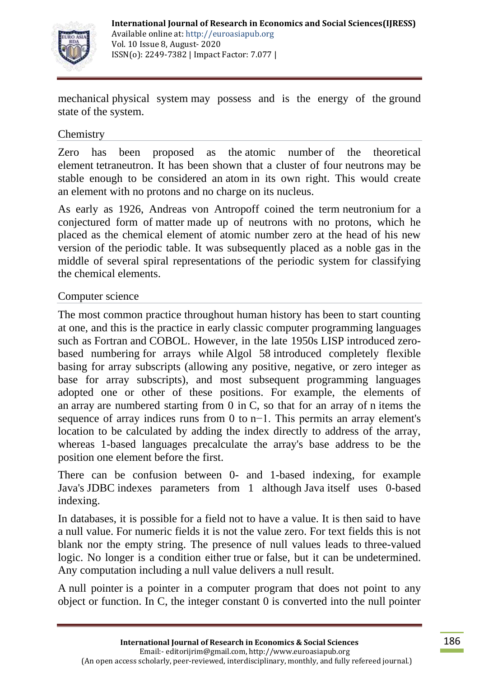

mechanical [physical system](https://en.wikipedia.org/wiki/Physical_system) may possess and is the energy of the [ground](https://en.wikipedia.org/wiki/Stationary_state)  [state](https://en.wikipedia.org/wiki/Stationary_state) of the system.

#### **Chemistry**

Zero has been proposed as the [atomic number](https://en.wikipedia.org/wiki/Atomic_number) of the theoretical element [tetraneutron.](https://en.wikipedia.org/wiki/Tetraneutron) It has been shown that a cluster of four [neutrons](https://en.wikipedia.org/wiki/Neutron) may be stable enough to be considered an [atom](https://en.wikipedia.org/wiki/Atom) in its own right. This would create an [element](https://en.wikipedia.org/wiki/Chemical_element) with no [protons](https://en.wikipedia.org/wiki/Proton) and no charge on its [nucleus.](https://en.wikipedia.org/wiki/Atomic_nucleus)

As early as 1926, Andreas von Antropoff coined the term [neutronium](https://en.wikipedia.org/wiki/Neutronium) for a conjectured form of [matter](https://en.wikipedia.org/wiki/Matter) made up of neutrons with no protons, which he placed as the chemical element of atomic number zero at the head of his new version of the [periodic table.](https://en.wikipedia.org/wiki/Periodic_table) It was subsequently placed as a noble gas in the middle of several spiral representations of the periodic system for classifying the chemical elements.

#### Computer science

The most common practice throughout human history has been to start counting at one, and this is the practice in early classic [computer programming](https://en.wikipedia.org/wiki/Computer_programming) languages such as [Fortran](https://en.wikipedia.org/wiki/Fortran) and [COBOL.](https://en.wikipedia.org/wiki/COBOL) However, in the late 1950s [LISP](https://en.wikipedia.org/wiki/LISP) introduced [zero](https://en.wikipedia.org/wiki/Zero-based_numbering)[based numbering](https://en.wikipedia.org/wiki/Zero-based_numbering) for arrays while [Algol 58](https://en.wikipedia.org/wiki/Algol_58) introduced completely flexible basing for array subscripts (allowing any positive, negative, or zero integer as base for array subscripts), and most subsequent programming languages adopted one or other of these positions. For example, the elements of an [array](https://en.wikipedia.org/wiki/Array_data_type) are numbered starting from 0 in [C,](https://en.wikipedia.org/wiki/C_(computer_language)) so that for an array of n items the sequence of array indices runs from 0 to n−1. This permits an array element's location to be calculated by adding the index directly to address of the array, whereas 1-based languages precalculate the array's base address to be the position one element before the first.

There can be confusion between 0- and 1-based indexing, for example Java's [JDBC](https://en.wikipedia.org/wiki/JDBC) indexes parameters from 1 although [Java](https://en.wikipedia.org/wiki/Java_(programming_language)) itself uses 0-based indexing.

In databases, it is possible for a field not to have a value. It is then said to have a [null value.](https://en.wikipedia.org/wiki/Null_(SQL)) For numeric fields it is not the value zero. For text fields this is not blank nor the empty string. The presence of null values leads to [three-valued](https://en.wikipedia.org/wiki/Ternary_logic)  [logic.](https://en.wikipedia.org/wiki/Ternary_logic) No longer is a condition either true or false, but it can be undetermined. Any computation including a null value delivers a null result.

A [null pointer](https://en.wikipedia.org/wiki/Null_pointer) is a pointer in a computer program that does not point to any object or function. In C, the integer constant 0 is converted into the null pointer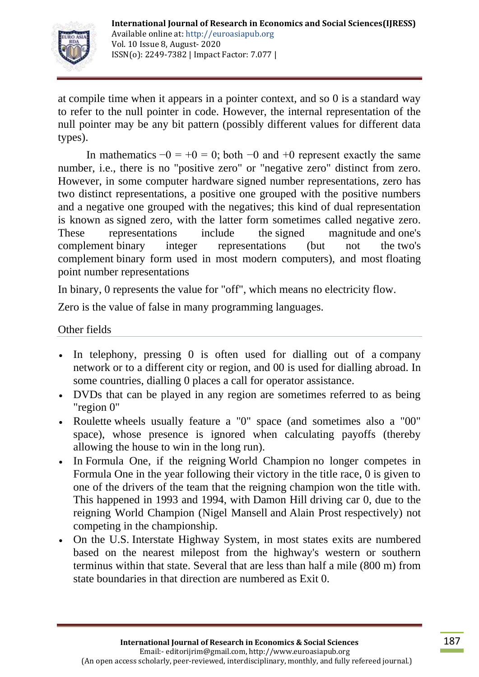

at [compile time](https://en.wikipedia.org/wiki/Compile_time) when it appears in a pointer context, and so 0 is a standard way to refer to the null pointer in code. However, the internal representation of the null pointer may be any bit pattern (possibly different values for different data types).

In mathematics  $-0 = +0 = 0$ ; both  $-0$  and  $+0$  represent exactly the same number, i.e., there is no "positive zero" or "negative zero" distinct from zero. However, in some computer hardware [signed number representations,](https://en.wikipedia.org/wiki/Signed_number_representations) zero has two distinct representations, a positive one grouped with the positive numbers and a negative one grouped with the negatives; this kind of dual representation is known as [signed zero,](https://en.wikipedia.org/wiki/Signed_zero) with the latter form sometimes called negative zero. These representations include the [signed magnitude](https://en.wikipedia.org/wiki/Signed_magnitude) and [one's](https://en.wikipedia.org/wiki/One%27s_complement)  [complement](https://en.wikipedia.org/wiki/One%27s_complement) binary integer representations (but not the [two's](https://en.wikipedia.org/wiki/Two%27s_complement)  [complement](https://en.wikipedia.org/wiki/Two%27s_complement) binary form used in most modern computers), and most [floating](https://en.wikipedia.org/wiki/Floating_point)  [point](https://en.wikipedia.org/wiki/Floating_point) number representations

In binary, 0 represents the value for "off", which means no electricity flow.

Zero is the value of false in many programming languages.

#### Other fields

- In telephony, pressing 0 is often used for dialling out of a company [network](https://en.wikipedia.org/wiki/Business_telephone_system) or to a different [city or region,](https://en.wikipedia.org/wiki/Trunk_prefix) and 00 is used for dialling [abroad.](https://en.wikipedia.org/wiki/International_call_prefix) In some countries, dialling 0 places a call for [operator assistance.](https://en.wikipedia.org/wiki/Operator_assistance)
- DVDs that can be played in any region are sometimes referred to as being ["region 0"](https://en.wikipedia.org/wiki/Region_0)
- [Roulette](https://en.wikipedia.org/wiki/Roulette) wheels usually feature a "0" space (and sometimes also a "00" space), whose presence is ignored when calculating payoffs (thereby allowing the house to win in the long run).
- In [Formula One,](https://en.wikipedia.org/wiki/Formula_One) if the reigning [World Champion](https://en.wikipedia.org/wiki/List_of_Formula_One_World_Drivers%27_Champions) no longer competes in Formula One in the year following their victory in the title race, 0 is given to one of the drivers of the team that the reigning champion won the title with. This happened in 1993 and 1994, with [Damon Hill](https://en.wikipedia.org/wiki/Damon_Hill) driving car 0, due to the reigning World Champion [\(Nigel Mansell](https://en.wikipedia.org/wiki/Nigel_Mansell) and [Alain Prost](https://en.wikipedia.org/wiki/Alain_Prost) respectively) not competing in the championship.
- On the U.S. [Interstate Highway System,](https://en.wikipedia.org/wiki/Interstate_Highway_System) in most states exits are numbered based on the nearest milepost from the highway's western or southern terminus within that state. Several that are less than half a mile (800 m) from state boundaries in that direction are numbered as Exit 0.